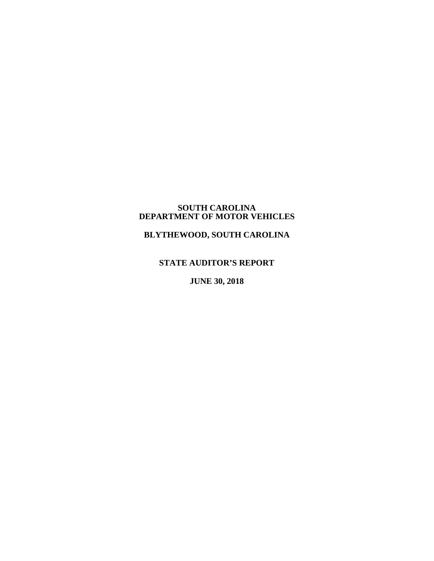## **SOUTH CAROLINA DEPARTMENT OF MOTOR VEHICLES**

# **BLYTHEWOOD, SOUTH CAROLINA**

# **STATE AUDITOR'S REPORT**

**JUNE 30, 2018**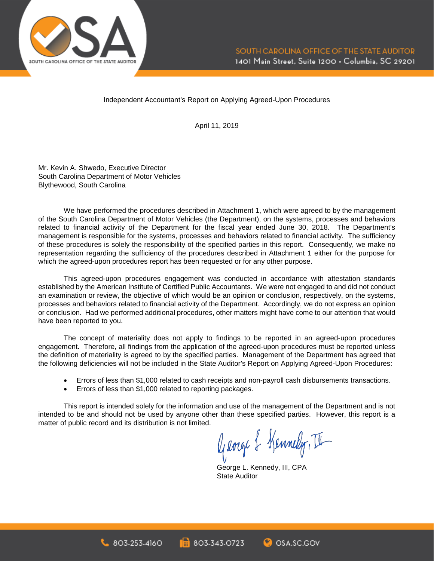

Independent Accountant's Report on Applying Agreed-Upon Procedures

April 11, 2019

Mr. Kevin A. Shwedo, Executive Director South Carolina Department of Motor Vehicles Blythewood, South Carolina

We have performed the procedures described in Attachment 1, which were agreed to by the management of the South Carolina Department of Motor Vehicles (the Department), on the systems, processes and behaviors related to financial activity of the Department for the fiscal year ended June 30, 2018. The Department's management is responsible for the systems, processes and behaviors related to financial activity. The sufficiency of these procedures is solely the responsibility of the specified parties in this report. Consequently, we make no representation regarding the sufficiency of the procedures described in Attachment 1 either for the purpose for which the agreed-upon procedures report has been requested or for any other purpose.

This agreed-upon procedures engagement was conducted in accordance with attestation standards established by the American Institute of Certified Public Accountants. We were not engaged to and did not conduct an examination or review, the objective of which would be an opinion or conclusion, respectively, on the systems, processes and behaviors related to financial activity of the Department. Accordingly, we do not express an opinion or conclusion. Had we performed additional procedures, other matters might have come to our attention that would have been reported to you.

The concept of materiality does not apply to findings to be reported in an agreed-upon procedures engagement. Therefore, all findings from the application of the agreed-upon procedures must be reported unless the definition of materiality is agreed to by the specified parties. Management of the Department has agreed that the following deficiencies will not be included in the State Auditor's Report on Applying Agreed-Upon Procedures:

- Errors of less than \$1,000 related to cash receipts and non-payroll cash disbursements transactions.
- Errors of less than \$1,000 related to reporting packages.

803-253-4160

This report is intended solely for the information and use of the management of the Department and is not intended to be and should not be used by anyone other than these specified parties. However, this report is a matter of public record and its distribution is not limited.

803-343-0723

George & Kennedy, II

**C**OSA SC.GOV

George L. Kennedy, III, CPA State Auditor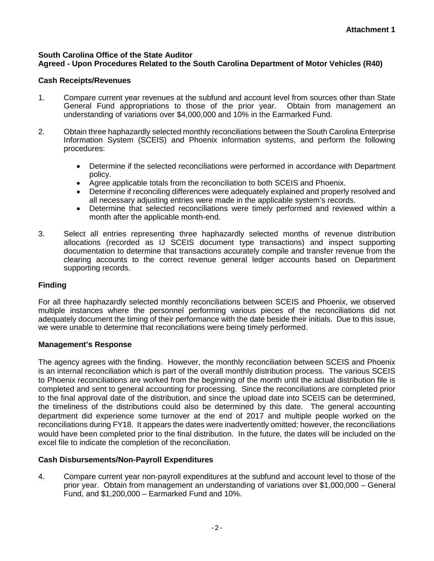#### **South Carolina Office of the State Auditor Agreed - Upon Procedures Related to the South Carolina Department of Motor Vehicles (R40)**

## **Cash Receipts/Revenues**

- 1. Compare current year revenues at the subfund and account level from sources other than State General Fund appropriations to those of the prior year. Obtain from management an understanding of variations over \$4,000,000 and 10% in the Earmarked Fund.
- 2. Obtain three haphazardly selected monthly reconciliations between the South Carolina Enterprise Information System (SCEIS) and Phoenix information systems, and perform the following procedures:
	- Determine if the selected reconciliations were performed in accordance with Department policy.
	- Agree applicable totals from the reconciliation to both SCEIS and Phoenix.
	- Determine if reconciling differences were adequately explained and properly resolved and all necessary adjusting entries were made in the applicable system's records.
	- Determine that selected reconciliations were timely performed and reviewed within a month after the applicable month-end.
- 3. Select all entries representing three haphazardly selected months of revenue distribution allocations (recorded as IJ SCEIS document type transactions) and inspect supporting documentation to determine that transactions accurately compile and transfer revenue from the clearing accounts to the correct revenue general ledger accounts based on Department supporting records.

## **Finding**

For all three haphazardly selected monthly reconciliations between SCEIS and Phoenix, we observed multiple instances where the personnel performing various pieces of the reconciliations did not adequately document the timing of their performance with the date beside their initials. Due to this issue, we were unable to determine that reconciliations were being timely performed.

### **Management's Response**

The agency agrees with the finding. However, the monthly reconciliation between SCEIS and Phoenix is an internal reconciliation which is part of the overall monthly distribution process. The various SCEIS to Phoenix reconciliations are worked from the beginning of the month until the actual distribution file is completed and sent to general accounting for processing. Since the reconciliations are completed prior to the final approval date of the distribution, and since the upload date into SCEIS can be determined, the timeliness of the distributions could also be determined by this date. The general accounting department did experience some turnover at the end of 2017 and multiple people worked on the reconciliations during FY18. It appears the dates were inadvertently omitted; however, the reconciliations would have been completed prior to the final distribution. In the future, the dates will be included on the excel file to indicate the completion of the reconciliation.

### **Cash Disbursements/Non-Payroll Expenditures**

4. Compare current year non-payroll expenditures at the subfund and account level to those of the prior year. Obtain from management an understanding of variations over \$1,000,000 – General Fund, and \$1,200,000 – Earmarked Fund and 10%.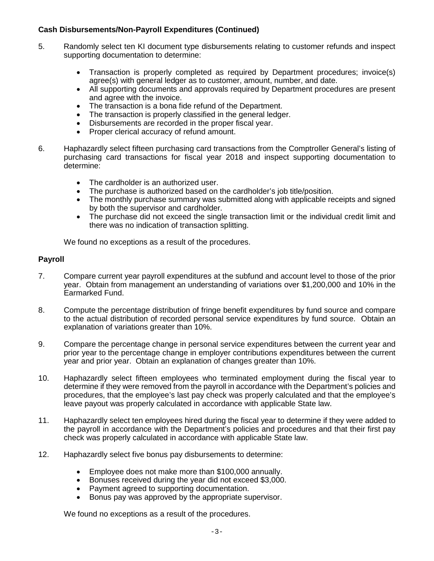## **Cash Disbursements/Non-Payroll Expenditures (Continued)**

- 5. Randomly select ten KI document type disbursements relating to customer refunds and inspect supporting documentation to determine:
	- Transaction is properly completed as required by Department procedures; invoice(s) agree(s) with general ledger as to customer, amount, number, and date.
	- All supporting documents and approvals required by Department procedures are present and agree with the invoice.
	- The transaction is a bona fide refund of the Department.
	- The transaction is properly classified in the general ledger.
	- Disbursements are recorded in the proper fiscal year.
	- Proper clerical accuracy of refund amount.
- 6. Haphazardly select fifteen purchasing card transactions from the Comptroller General's listing of purchasing card transactions for fiscal year 2018 and inspect supporting documentation to determine:
	- The cardholder is an authorized user.
	- The purchase is authorized based on the cardholder's job title/position.
	- The monthly purchase summary was submitted along with applicable receipts and signed by both the supervisor and cardholder.
	- The purchase did not exceed the single transaction limit or the individual credit limit and there was no indication of transaction splitting.

We found no exceptions as a result of the procedures.

#### **Payroll**

- 7. Compare current year payroll expenditures at the subfund and account level to those of the prior year. Obtain from management an understanding of variations over \$1,200,000 and 10% in the Earmarked Fund.
- 8. Compute the percentage distribution of fringe benefit expenditures by fund source and compare to the actual distribution of recorded personal service expenditures by fund source. Obtain an explanation of variations greater than 10%.
- 9. Compare the percentage change in personal service expenditures between the current year and prior year to the percentage change in employer contributions expenditures between the current year and prior year. Obtain an explanation of changes greater than 10%.
- 10. Haphazardly select fifteen employees who terminated employment during the fiscal year to determine if they were removed from the payroll in accordance with the Department's policies and procedures, that the employee's last pay check was properly calculated and that the employee's leave payout was properly calculated in accordance with applicable State law.
- 11. Haphazardly select ten employees hired during the fiscal year to determine if they were added to the payroll in accordance with the Department's policies and procedures and that their first pay check was properly calculated in accordance with applicable State law.
- 12. Haphazardly select five bonus pay disbursements to determine:
	- Employee does not make more than \$100,000 annually.
	- Bonuses received during the year did not exceed \$3,000.
	- Payment agreed to supporting documentation.
	- Bonus pay was approved by the appropriate supervisor.

We found no exceptions as a result of the procedures.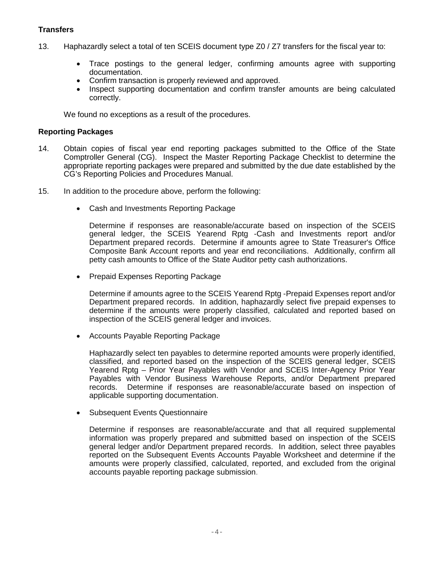## **Transfers**

- 13. Haphazardly select a total of ten SCEIS document type Z0 / Z7 transfers for the fiscal year to:
	- Trace postings to the general ledger, confirming amounts agree with supporting documentation.
	- Confirm transaction is properly reviewed and approved.
	- Inspect supporting documentation and confirm transfer amounts are being calculated correctly.

We found no exceptions as a result of the procedures.

#### **Reporting Packages**

- 14. Obtain copies of fiscal year end reporting packages submitted to the Office of the State Comptroller General (CG). Inspect the Master Reporting Package Checklist to determine the appropriate reporting packages were prepared and submitted by the due date established by the CG's Reporting Policies and Procedures Manual.
- 15. In addition to the procedure above, perform the following:
	- Cash and Investments Reporting Package

Determine if responses are reasonable/accurate based on inspection of the SCEIS general ledger, the SCEIS Yearend Rptg -Cash and Investments report and/or Department prepared records. Determine if amounts agree to State Treasurer's Office Composite Bank Account reports and year end reconciliations. Additionally, confirm all petty cash amounts to Office of the State Auditor petty cash authorizations.

• Prepaid Expenses Reporting Package

Determine if amounts agree to the SCEIS Yearend Rptg -Prepaid Expenses report and/or Department prepared records. In addition, haphazardly select five prepaid expenses to determine if the amounts were properly classified, calculated and reported based on inspection of the SCEIS general ledger and invoices.

• Accounts Payable Reporting Package

Haphazardly select ten payables to determine reported amounts were properly identified, classified, and reported based on the inspection of the SCEIS general ledger, SCEIS Yearend Rptg – Prior Year Payables with Vendor and SCEIS Inter-Agency Prior Year Payables with Vendor Business Warehouse Reports, and/or Department prepared records. Determine if responses are reasonable/accurate based on inspection of applicable supporting documentation.

• Subsequent Events Questionnaire

Determine if responses are reasonable/accurate and that all required supplemental information was properly prepared and submitted based on inspection of the SCEIS general ledger and/or Department prepared records. In addition, select three payables reported on the Subsequent Events Accounts Payable Worksheet and determine if the amounts were properly classified, calculated, reported, and excluded from the original accounts payable reporting package submission.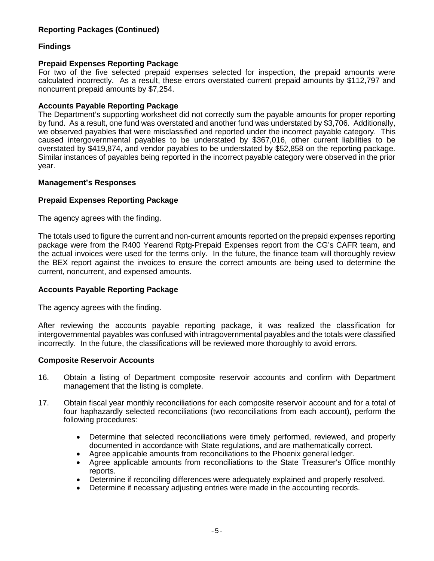## **Reporting Packages (Continued)**

## **Findings**

#### **Prepaid Expenses Reporting Package**

For two of the five selected prepaid expenses selected for inspection, the prepaid amounts were calculated incorrectly. As a result, these errors overstated current prepaid amounts by \$112,797 and noncurrent prepaid amounts by \$7,254.

#### **Accounts Payable Reporting Package**

The Department's supporting worksheet did not correctly sum the payable amounts for proper reporting by fund. As a result, one fund was overstated and another fund was understated by \$3,706. Additionally, we observed payables that were misclassified and reported under the incorrect payable category. This caused intergovernmental payables to be understated by \$367,016, other current liabilities to be overstated by \$419,874, and vendor payables to be understated by \$52,858 on the reporting package. Similar instances of payables being reported in the incorrect payable category were observed in the prior year.

#### **Management's Responses**

### **Prepaid Expenses Reporting Package**

The agency agrees with the finding.

The totals used to figure the current and non-current amounts reported on the prepaid expenses reporting package were from the R400 Yearend Rptg-Prepaid Expenses report from the CG's CAFR team, and the actual invoices were used for the terms only. In the future, the finance team will thoroughly review the BEX report against the invoices to ensure the correct amounts are being used to determine the current, noncurrent, and expensed amounts.

### **Accounts Payable Reporting Package**

The agency agrees with the finding.

After reviewing the accounts payable reporting package, it was realized the classification for intergovernmental payables was confused with intragovernmental payables and the totals were classified incorrectly. In the future, the classifications will be reviewed more thoroughly to avoid errors.

#### **Composite Reservoir Accounts**

- 16. Obtain a listing of Department composite reservoir accounts and confirm with Department management that the listing is complete.
- 17. Obtain fiscal year monthly reconciliations for each composite reservoir account and for a total of four haphazardly selected reconciliations (two reconciliations from each account), perform the following procedures:
	- Determine that selected reconciliations were timely performed, reviewed, and properly documented in accordance with State regulations, and are mathematically correct.
	- Agree applicable amounts from reconciliations to the Phoenix general ledger.
	- Agree applicable amounts from reconciliations to the State Treasurer's Office monthly reports.
	- Determine if reconciling differences were adequately explained and properly resolved.
	- Determine if necessary adjusting entries were made in the accounting records.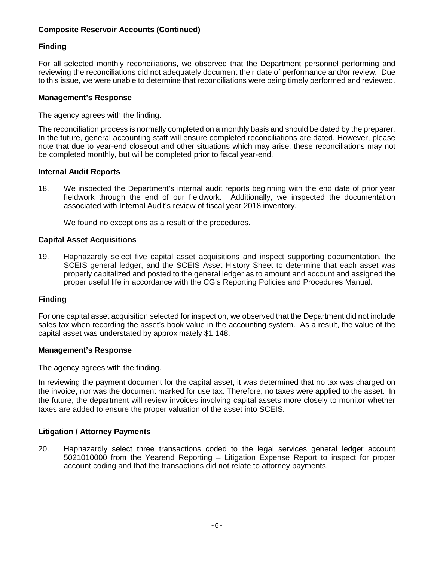## **Composite Reservoir Accounts (Continued)**

## **Finding**

For all selected monthly reconciliations, we observed that the Department personnel performing and reviewing the reconciliations did not adequately document their date of performance and/or review. Due to this issue, we were unable to determine that reconciliations were being timely performed and reviewed.

#### **Management's Response**

The agency agrees with the finding.

The reconciliation process is normally completed on a monthly basis and should be dated by the preparer. In the future, general accounting staff will ensure completed reconciliations are dated. However, please note that due to year-end closeout and other situations which may arise, these reconciliations may not be completed monthly, but will be completed prior to fiscal year-end.

#### **Internal Audit Reports**

18. We inspected the Department's internal audit reports beginning with the end date of prior year fieldwork through the end of our fieldwork. Additionally, we inspected the documentation associated with Internal Audit's review of fiscal year 2018 inventory.

We found no exceptions as a result of the procedures.

#### **Capital Asset Acquisitions**

19. Haphazardly select five capital asset acquisitions and inspect supporting documentation, the SCEIS general ledger, and the SCEIS Asset History Sheet to determine that each asset was properly capitalized and posted to the general ledger as to amount and account and assigned the proper useful life in accordance with the CG's Reporting Policies and Procedures Manual.

### **Finding**

For one capital asset acquisition selected for inspection, we observed that the Department did not include sales tax when recording the asset's book value in the accounting system. As a result, the value of the capital asset was understated by approximately \$1,148.

#### **Management's Response**

The agency agrees with the finding.

In reviewing the payment document for the capital asset, it was determined that no tax was charged on the invoice, nor was the document marked for use tax. Therefore, no taxes were applied to the asset. In the future, the department will review invoices involving capital assets more closely to monitor whether taxes are added to ensure the proper valuation of the asset into SCEIS.

### **Litigation / Attorney Payments**

20. Haphazardly select three transactions coded to the legal services general ledger account 5021010000 from the Yearend Reporting – Litigation Expense Report to inspect for proper account coding and that the transactions did not relate to attorney payments.